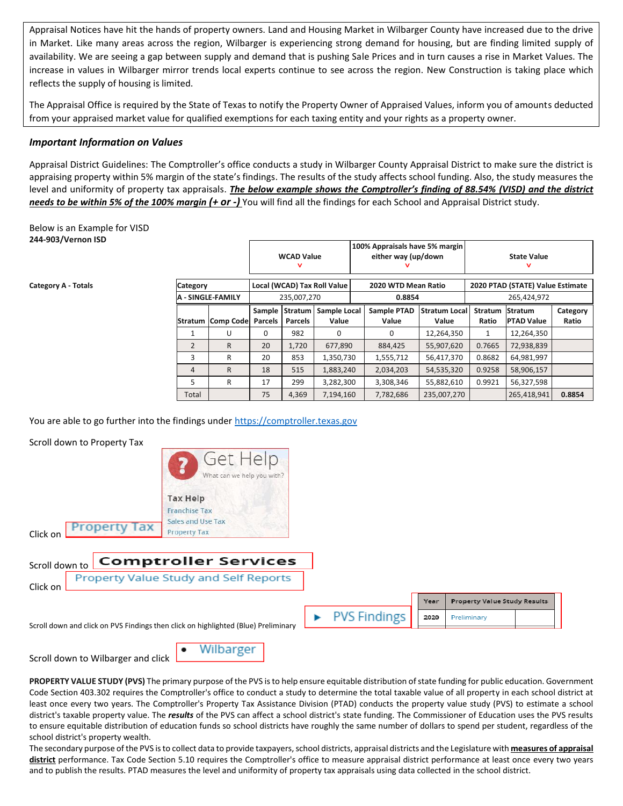Appraisal Notices have hit the hands of property owners. Land and Housing Market in Wilbarger County have increased due to the drive in Market. Like many areas across the region, Wilbarger is experiencing strong demand for housing, but are finding limited supply of availability. We are seeing a gap between supply and demand that is pushing Sale Prices and in turn causes a rise in Market Values. The increase in values in Wilbarger mirror trends local experts continue to see across the region. New Construction is taking place which reflects the supply of housing is limited.

The Appraisal Office is required by the State of Texas to notify the Property Owner of Appraised Values, inform you of amounts deducted from your appraised market value for qualified exemptions for each taxing entity and your rights as a property owner.

#### *Important Information on Values*

Appraisal District Guidelines: The Comptroller's office conducts a study in Wilbarger County Appraisal District to make sure the district is appraising property within 5% margin of the state's findings. The results of the study affects school funding. Also, the study measures the level and uniformity of property tax appraisals. *The below example shows the Comptroller's finding of 88.54% (VISD) and the district needs to be within 5% of the 100% margin (+ or -)* You will find all the findings for each School and Appraisal District study.

Below is an Example for VISD **244-903/Vernon ISD**

|                                             |                   | <b>WCAD Value</b><br>v                     |                           |                       | 100% Appraisals have 5% margin<br>either way (up/down<br>v |                      |                               | <b>State Value</b><br>v          |                                     |                   |
|---------------------------------------------|-------------------|--------------------------------------------|---------------------------|-----------------------|------------------------------------------------------------|----------------------|-------------------------------|----------------------------------|-------------------------------------|-------------------|
| <b>Category</b><br><b>A - SINGLE-FAMILY</b> |                   | Local (WCAD) Tax Roll Value<br>235,007,270 |                           |                       | 2020 WTD Mean Ratio                                        |                      |                               | 2020 PTAD (STATE) Value Estimate |                                     |                   |
|                                             |                   |                                            |                           |                       |                                                            | 0.8854               | 265,424,972                   |                                  |                                     |                   |
|                                             | Stratum Comp Code | Sample<br><b>Parcels</b>                   | Stratum<br><b>Parcels</b> | Sample Local<br>Value |                                                            | Sample PTAD<br>Value | <b>Stratum Local</b><br>Value | <b>Stratum</b><br>Ratio          | <b>Stratum</b><br><b>PTAD Value</b> | Category<br>Ratio |
| 1                                           | U                 | $\Omega$                                   | 982                       | 0                     |                                                            | O                    | 12,264,350                    | 1                                | 12,264,350                          |                   |
| $\mathcal{P}$                               | R                 | 20                                         | 1.720                     | 677,890               |                                                            | 884,425              | 55,907,620                    | 0.7665                           | 72,938,839                          |                   |
| 3                                           | R                 | 20                                         | 853                       | 1,350,730             |                                                            | 1,555,712            | 56,417,370                    | 0.8682                           | 64,981,997                          |                   |
| 4                                           | $\mathsf{R}$      | 18                                         | 515                       | 1,883,240             |                                                            | 2,034,203            | 54,535,320                    | 0.9258                           | 58,906,157                          |                   |
| 5                                           | R                 | 17                                         | 299                       | 3,282,300             |                                                            | 3,308,346            | 55,882,610                    | 0.9921                           | 56,327,598                          |                   |
| Total                                       |                   | 75                                         | 4,369                     | 7,194,160             |                                                            | 7,782,686            | 235,007,270                   |                                  | 265,418,941                         | 0.8854            |

You are able to go further into the findings under [https://comptroller.texas.gov](https://comptroller.texas.gov/)

Scroll down to Property Tax

Scroll down to Wilbarger and click



**PROPERTY VALUE STUDY (PVS)** The primary purpose of the PVS is to help ensure equitable distribution of state funding for public education. Government Code Section 403.302 requires the Comptroller's office to conduct a study to determine the total taxable value of all property in each school district at least once every two years. The Comptroller's Property Tax Assistance Division (PTAD) conducts the property value study (PVS) to estimate a school district's taxable property value. The *results* of the PVS can affect a school district's state funding. The Commissioner of Education uses the PVS results to ensure equitable distribution of education funds so school districts have roughly the same number of dollars to spend per student, regardless of the school district's property wealth.

The secondary purpose of the PVS is to collect data to provide taxpayers, school districts, appraisal districts and the Legislature with **measures of appraisal district** performance. Tax Code Section 5.10 requires the Comptroller's office to measure appraisal district performance at least once every two years and to publish the results. PTAD measures the level and uniformity of property tax appraisals using data collected in the school district.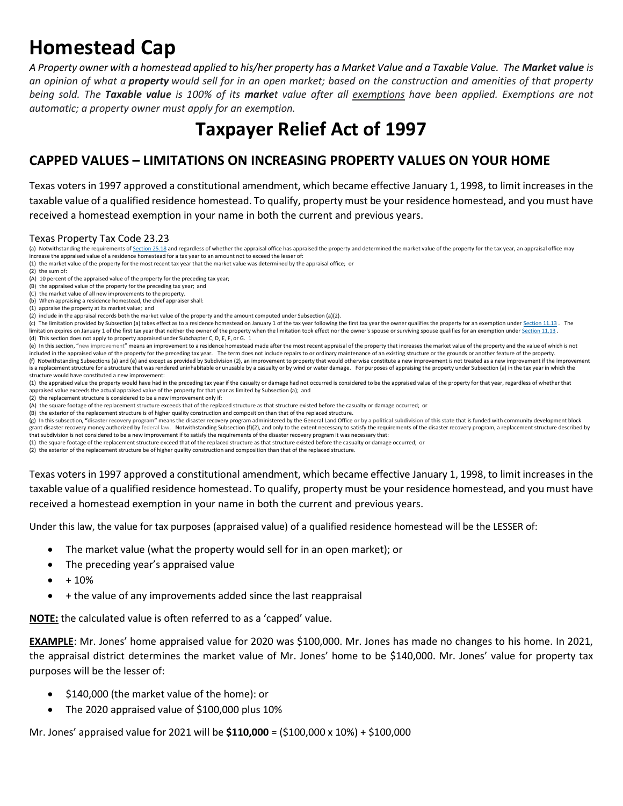# **Homestead Cap**

*A Property owner with a homestead applied to his/her property has a Market Value and a Taxable Value. The Market value is an opinion of what a property would sell for in an open market; based on the construction and amenities of that property being sold. The Taxable value is 100% of its market value after all exemptions have been applied. Exemptions are not automatic; a property owner must apply for an exemption.*

### **Taxpayer Relief Act of 1997**

### **CAPPED VALUES – LIMITATIONS ON INCREASING PROPERTY VALUES ON YOUR HOME**

Texas voters in 1997 approved a constitutional amendment, which became effective January 1, 1998, to limit increases in the taxable value of a qualified residence homestead. To qualify, property must be your residence homestead, and you must have received a homestead exemption in your name in both the current and previous years.

#### Texas Property Tax Code 23.23

- (a) Notwithstanding the requirements of [Section 25.18](https://1.next.westlaw.com/Link/Document/FullText?findType=L&originatingContext=document&transitionType=DocumentItem&pubNum=1000185&refType=LQ&originatingDoc=I9e234d80ee8b11ea98869ecb60b9ea8c&cite=TXTXS25.18) and regardless of whether the appraisal office has appraisal office has appraisal office has appraisal office has appraised the property and determined the market value increase the appraised value of a residence homestead for a tax year to an amount not to exceed the lesser of:
- (1) the market value of the property for the most recent tax year that the market value was determined by the appraisal office;  or
- (2) the sum of:

- (B) the appraised value of the property for the preceding tax year;  and (C) the market value of all new improvements to the property.
- 
- (b) When appraising a residence homestead, the chief appraiser shall:
- (1) appraise the property at its market value;  and
- (2) include in the appraisal records both the market value of the property and the amount computed under Subsection (a)(2).
- (c) The limitation provided by Subsection (a) takes effect as to a residence homestead on January 1 of the tax year following the first tax year the owner qualifies the property for an exemption under [Section 11.13](https://1.next.westlaw.com/Link/Document/FullText?findType=L&originatingContext=document&transitionType=DocumentItem&pubNum=1000185&refType=LQ&originatingDoc=I9e23e9c0ee8b11ea98869ecb60b9ea8c&cite=TXTXS11.13) . The limitation expires on January 1 of the first tax year that neither the owner of the property when the limitation took effect nor the owner's spouse or surviving spouse qualifies for an exemption under [Section 11.13](https://1.next.westlaw.com/Link/Document/FullText?findType=L&originatingContext=document&transitionType=DocumentItem&pubNum=1000185&refType=LQ&originatingDoc=I9e23e9c1ee8b11ea98869ecb60b9ea8c&cite=TXTXS11.13) . (d) This section does not apply to property appraised under Subchapter C, D, E, F, or G. 1
- (e) In this section, "new improvement" means an improvement to a residence homestead made after the most recent appraisal of the property that increases the market value of the property and the value of which is not included in the appraised value of the property for the preceding tax year. The term does not include repairs to or ordinary maintenance of an existing structure or the grounds or another feature of the property. (f) Notwithstanding Subsections (a) and (e) and except as provided by Subdivision (2), an improvement to property that would otherwise constitute a new improvement is not treated as a new improvement if the improvement if is a replacement structure for a structure that was rendered uninhabitable or unusable by a casualty or by wind or water damage. For purposes of appraising the property under Subsection (a) in the tax year in which the structure would have constituted a new improvement:
- (1) the appraised value the property would have had in the preceding tax year if the casualty or damage had not occurred is considered to be the appraised value of the property for that year, regardless of whether that appraised value exceeds the actual appraised value of the property for that year as limited by Subsection (a);  and
- (2) the replacement structure is considered to be a new improvement only if:
- (A) the square footage of the replacement structure exceeds that of the replaced structure as that structure existed before the casualty or damage occurred;  or
- (B) the exterior of the replacement structure is of higher quality construction and composition than that of the replaced structure.

(g) In this subsection, "disaster recovery program" means the disaster recovery program administered by the General Land Office or by a political subdivision of this state that is funded with community development block grant disaster recovery money authorized by federal law. Notwithstanding Subsection (f)(2), and only to the extent necessary to satisfy the requirements of the disaster recovery program, a replacement structure described b that subdivision is not considered to be a new improvement if to satisfy the requirements of the disaster recovery program it was necessary that:

- (1) the square footage of the replacement structure exceed that of the replaced structure as that structure existed before the casualty or damage occurred;  or
- (2) the exterior of the replacement structure be of higher quality construction and composition than that of the replaced structure.

Texas voters in 1997 approved a constitutional amendment, which became effective January 1, 1998, to limit increases in the taxable value of a qualified residence homestead. To qualify, property must be your residence homestead, and you must have received a homestead exemption in your name in both the current and previous years.

Under this law, the value for tax purposes (appraised value) of a qualified residence homestead will be the LESSER of:

- The market value (what the property would sell for in an open market); or
- The preceding year's appraised value
- + 10%
- + the value of any improvements added since the last reappraisal

**NOTE:** the calculated value is often referred to as a 'capped' value.

**EXAMPLE**: Mr. Jones' home appraised value for 2020 was \$100,000. Mr. Jones has made no changes to his home. In 2021, the appraisal district determines the market value of Mr. Jones' home to be \$140,000. Mr. Jones' value for property tax purposes will be the lesser of:

- $\bullet$  \$140,000 (the market value of the home): or
- The 2020 appraised value of \$100,000 plus 10%

Mr. Jones' appraised value for 2021 will be **\$110,000** = (\$100,000 x 10%) + \$100,000

<sup>(</sup>A) 10 percent of the appraised value of the property for the preceding tax year;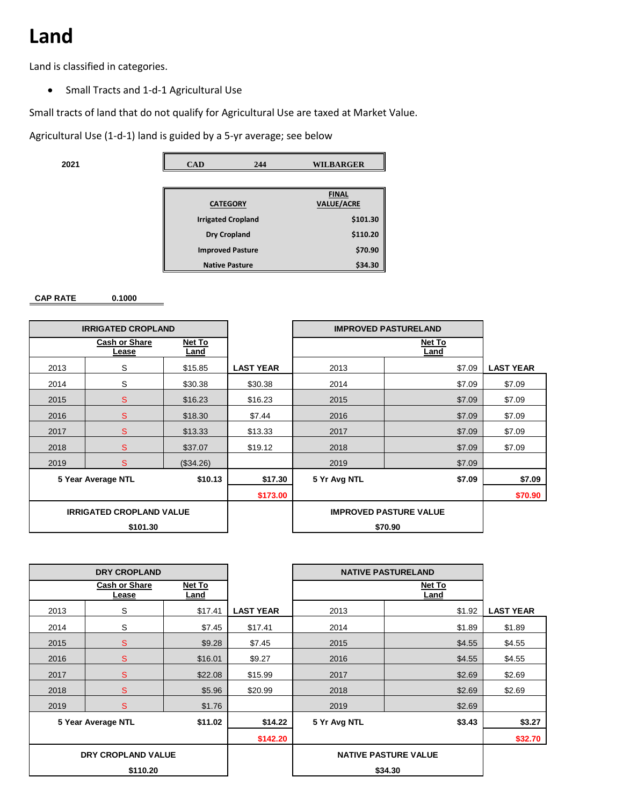### **Land**

Land is classified in categories.

Small Tracts and 1-d-1 Agricultural Use

Small tracts of land that do not qualify for Agricultural Use are taxed at Market Value.

Agricultural Use (1-d-1) land is guided by a 5-yr average; see below

| <b>WILBARGER</b><br>CAD<br>244 | 2021 |  |  |  |
|--------------------------------|------|--|--|--|
|--------------------------------|------|--|--|--|

|                           | <b>FINAL</b>      |
|---------------------------|-------------------|
| <b>CATEGORY</b>           | <b>VALUE/ACRE</b> |
| <b>Irrigated Cropland</b> | \$101.30          |
| Dry Cropland              | \$110.20          |
| <b>Improved Pasture</b>   | \$70.90           |
| <b>Native Pasture</b>     | \$34.30           |

#### **CAP RATE 0.1000**

| <b>IRRIGATED CROPLAND</b> |                               |                                 |                |                         | <b>IMPROVED PASTURELAND</b>   |                |                  |
|---------------------------|-------------------------------|---------------------------------|----------------|-------------------------|-------------------------------|----------------|------------------|
|                           |                               | <b>Cash or Share</b><br>Lease   | Net To<br>Land |                         |                               | Net To<br>Land |                  |
|                           | 2013                          | S                               | \$15.85        | <b>LAST YEAR</b>        | 2013                          | \$7.09         | <b>LAST YEAR</b> |
|                           | 2014                          | S                               | \$30.38        | \$30.38                 | 2014                          | \$7.09         | \$7.09           |
|                           | 2015                          | <sub>S</sub>                    | \$16.23        | \$16.23                 | 2015                          | \$7.09         | \$7.09           |
|                           | 2016                          | S                               | \$18.30        | \$7.44                  | 2016                          | \$7.09         | \$7.09           |
|                           | 2017                          | S                               | \$13.33        | \$13.33                 | 2017                          | \$7.09         | \$7.09           |
|                           | 2018                          | S                               | \$37.07        | \$19.12                 | 2018                          | \$7.09         | \$7.09           |
|                           | 2019                          | <sub>S</sub>                    | (\$34.26)      |                         | 2019                          | \$7.09         |                  |
|                           | 5 Year Average NTL<br>\$10.13 |                                 |                | 5 Yr Avg NTL<br>\$17.30 |                               | \$7.09         | \$7.09           |
|                           |                               |                                 |                | \$173.00                |                               |                | \$70.90          |
|                           |                               | <b>IRRIGATED CROPLAND VALUE</b> |                |                         | <b>IMPROVED PASTURE VALUE</b> |                |                  |
|                           |                               | \$101.30                        |                |                         |                               | \$70.90        |                  |

|                                                 | <b>DRY CROPLAND</b>       |         |                  | <b>NATIVE PASTURELAND</b> |                             |                  |
|-------------------------------------------------|---------------------------|---------|------------------|---------------------------|-----------------------------|------------------|
| <b>Cash or Share</b><br>Net To<br>Land<br>Lease |                           |         |                  |                           | Net To<br>Land              |                  |
| 2013                                            | S                         | \$17.41 | <b>LAST YEAR</b> | 2013                      | \$1.92                      | <b>LAST YEAR</b> |
| 2014                                            | S                         | \$7.45  | \$17.41          | 2014                      | \$1.89                      | \$1.89           |
| 2015                                            | S                         | \$9.28  | \$7.45           | 2015                      | \$4.55                      | \$4.55           |
| 2016                                            | S                         | \$16.01 | \$9.27           | 2016                      | \$4.55                      | \$4.55           |
| 2017                                            | S                         | \$22.08 | \$15.99          | 2017                      | \$2.69                      | \$2.69           |
| 2018                                            | S                         | \$5.96  | \$20.99          | 2018                      | \$2.69                      | \$2.69           |
| 2019                                            | S                         | \$1.76  |                  | 2019                      | \$2.69                      |                  |
|                                                 | 5 Year Average NTL        | \$11.02 | \$14.22          | 5 Yr Avg NTL              | \$3.43                      | \$3.27           |
|                                                 |                           |         | \$142.20         |                           |                             | \$32.70          |
|                                                 | <b>DRY CROPLAND VALUE</b> |         |                  |                           | <b>NATIVE PASTURE VALUE</b> |                  |
|                                                 | \$110.20                  |         |                  |                           | \$34.30                     |                  |